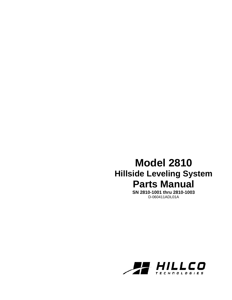## **Model 2810 Hillside Leveling System Parts Manual**

**SN 2810-1001 thru 2810-1003**  D-060411ADL01A

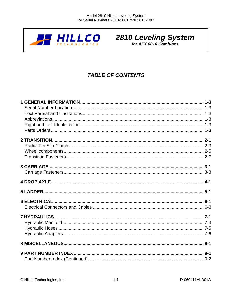

# **2810 Leveling System**

**TABLE OF CONTENTS**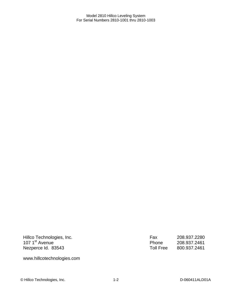Hillco Technologies, Inc. 107 1<sup>st</sup> Avenue Nezperce Id. 83543

www.hillcotechnologies.com

Fax 208.937.2280 Phone 208.937.2461 Toll Free 800.937.2461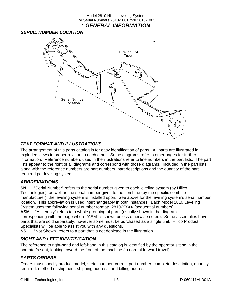#### Model 2810 Hillco Leveling System For Serial Numbers 2810-1001 thru 2810-1003 **1** *GENERAL INFORMATION*

#### *SERIAL NUMBER LOCATION*



#### *TEXT FORMAT AND ILLUSTRATIONS*

The arrangement of this parts catalog is for easy identification of parts. All parts are illustrated in exploded views in proper relation to each other. Some diagrams refer to other pages for further information. Reference numbers used in the illustrations refer to line numbers in the part lists. The part lists appear to the right of all diagrams and correspond with those diagrams. Included in the part lists, along with the reference numbers are part numbers, part descriptions and the quantity of the part required per leveling system.

#### *ABBREVIATIONS*

**SN** "Serial Number" refers to the serial number given to each leveling system (by Hillco Technologies), as well as the serial number given to the combine (by the specific combine manufacturer), the leveling system is installed upon. See above for the leveling system's serial number location. This abbreviation is used interchangeably in both instances. Each Model 2810 Leveling System uses the following serial number format: 2810-XXXX (sequential numbers) **ASM** "Assembly" refers to a whole grouping of parts (usually shown in the diagram

corresponding with the page where "ASM" is shown unless otherwise noted). Some assemblies have parts that are sold separately, however some must be purchased as a single unit. Hillco Product Specialists will be able to assist you with any questions.

**NS** "Not Shown" refers to a part that is not depicted in the illustration.

#### *RIGHT AND LEFT IDENTIFICATION*

The reference to right-hand and left-hand in this catalog is identified by the operator sitting in the operator's seat, looking toward the front of the machine (in normal forward travel).

### *PARTS ORDERS*

Orders must specify product model, serial number, correct part number, complete description, quantity required, method of shipment, shipping address, and billing address.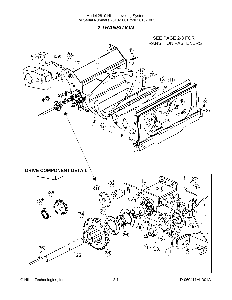**2** *TRANSITION* 



© Hillco Technologies, Inc. 2-1 2-1 D-060411ALD01A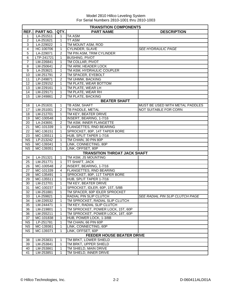|                        | <b>TRANSITION COMPONENTS</b> |                |                                     |                                 |  |  |
|------------------------|------------------------------|----------------|-------------------------------------|---------------------------------|--|--|
| REF.                   | <b>PART NO.</b>              | QTY.           | <b>PART NAME</b>                    | <b>DESCRIPTION</b>              |  |  |
| 1                      | LA-251511                    | 1              | <b>TA ASM</b>                       |                                 |  |  |
| $\overline{c}$         | LA-251621                    | 1              | <b>TT ASM</b>                       |                                 |  |  |
| $\overline{3}$         | LA-229022                    | 1              | TM MOUNT ASM, ROD                   |                                 |  |  |
| 4                      | HC-100706                    | 1              | <b>CYLINDER, SLAVE</b>              | <b>SEE HYDRAULIC PAGE</b>       |  |  |
| 5                      | LA-229071                    | 2              | TM PIN ASM, TRIM CYLINDER           |                                 |  |  |
| 6                      | LTP-241721                   | $\mathbf{1}$   | <b>BUSHING, PIVOT</b>               |                                 |  |  |
| $\overline{7}$         | LM-226841                    | 1              | TM COLLAR, PIVOT                    |                                 |  |  |
| 8                      | LM-250641                    | $\overline{2}$ | TM ARM, HEADER LOCK                 |                                 |  |  |
| 9                      | LA-253621                    | 1              | TM ASM, HYDRAULIC COUPLER           |                                 |  |  |
| 10                     | LM-251791                    | $\overline{2}$ | TM SPACER, EYEBOLT                  |                                 |  |  |
| 11                     | LP-249871                    | 2              | TM UHMW, BACKING                    |                                 |  |  |
| $\overline{12}$        | LM-229152                    | 1              | TM PLATE, WEAR BOTTOM               |                                 |  |  |
| 13                     | LM-229161                    | 1              | TM PLATE, WEAR LH                   |                                 |  |  |
| 14                     | LM-229171                    | 1              | TM PLATE, WEAR RH                   |                                 |  |  |
| 15                     | LM-249861                    | $\overline{2}$ | TM PLATE, BACKING                   |                                 |  |  |
|                        |                              |                | <b>BEATER SHAFT</b>                 |                                 |  |  |
| 16                     | LA-251631                    | 1              | TB ASM, SHAFT                       | MUST BE USED WITH METAL PADDLES |  |  |
| 17                     | LM-251001                    | $\overline{2}$ | TB PADDLE, METAL                    | <b>NOT SUITABLE FOR CORN</b>    |  |  |
| 18                     | LM-212701                    | $\mathbf{1}$   | TM KEY, BEATER DRIVE                |                                 |  |  |
| 19                     | MC-100548                    | $\mathbf{1}$   | INSERT, BEARING, 1-7/16             |                                 |  |  |
| $\overline{20}$        | LA-243691                    | $\overline{2}$ | TM ASM, INNER FLANGETTE             |                                 |  |  |
| 21                     | MC-101339                    | 1              | <b>FLANGETTES, RND BEARING</b>      |                                 |  |  |
| 22                     | MC-136151                    | 1              | SPROCKET, 80P, 14T TAPER BORE       |                                 |  |  |
| 23                     | MC-135511                    | 1              | HUB, SPLIT TAPER 1-7/16             |                                 |  |  |
| <b>NS</b>              | LP-213242                    | 1              | TM CHAIN, 30 PIN 80P                |                                 |  |  |
| NS                     | MC-139341                    | 1              | LINK, CONNECTING, 80P               |                                 |  |  |
| $\overline{\text{NS}}$ | MC-139351                    | 1              | LINK, OFFSET, 80P                   |                                 |  |  |
|                        |                              |                | <b>TRANSITION THROAT JACK SHAFT</b> |                                 |  |  |
| 24                     | LA-251321                    | 1              | TM ASM, JS MOUNTING                 |                                 |  |  |
| 25                     | LM-251771                    | $\mathbf{1}$   | <b>TT SHAFT, JACK</b>               |                                 |  |  |
| 26                     | MC-100548                    | $\overline{2}$ | INSERT, BEARING, 1-7/16             |                                 |  |  |
| 27                     | MC-101339                    | 4              | <b>FLANGETTES, RND BEARING</b>      |                                 |  |  |
| 28                     | MC-135491                    | 1              | SPROCKET, 80P, 11T TAPER BORE       |                                 |  |  |
| 29                     | MC-135511                    | 1              | HUB, SPLIT TAPER 1-7/16             |                                 |  |  |
| 30                     | LM-212701                    | 1              | TM KEY, BEATER DRIVE                |                                 |  |  |
| 31                     | MC-100237                    | 1              | SPROCKET, IDLER, 60P, 15T, 5/8B     |                                 |  |  |
| $\overline{32}$        | LM-251881                    | 1              | TM SPACER, 60P IDLER SPROCKET       |                                 |  |  |
| 33                     | LA-259821                    | 1              | RADIAL PIN SLIP CLUTCH              | SEE RADIAL PIN SLIP CLUTCH PAGE |  |  |
| 34                     | LM-226532                    | 1              | TM SPROCKET, RADIAL SLIP CLUTCH     |                                 |  |  |
| 35                     | LM-244471                    | 1              | TM KEY, RADIAL SLIP CLUTCH          |                                 |  |  |
| 36                     | LM-219801                    | 1              | TM SPROCKET, POWER LOCK, 15T, 60P   |                                 |  |  |
| 36                     | LM-255211                    | 1              | TM SPROCKET, POWER LOCK, 18T, 60P   |                                 |  |  |
| 37                     | MC-101838                    | 1              | HUB, POWER LOCK, 1-3/8B             |                                 |  |  |
| $\overline{\text{NS}}$ | LP-251781                    | 1              | TM CHAIN, 66 PIN 60P                |                                 |  |  |
| <b>NS</b>              | MC-139361                    | 1              | LINK, CONNECTING, 60P               |                                 |  |  |
| <b>NS</b>              | MC-139371                    | 1              | LINK, OFFSET, 60P                   |                                 |  |  |
|                        |                              |                | <b>FEEDER HOUSE BEATER DRIVE</b>    |                                 |  |  |
| 38                     | LM-253831                    |                | TM BRKT, LOWER SHIELD               |                                 |  |  |
| 39                     | LM-253841                    | 1              | TM BRKT, UPPER SHIELD               |                                 |  |  |
| 40                     | LM-253861                    | 1              | TM SHIELD, MAIN DRIVE               |                                 |  |  |
| 41                     | LM-253851                    | 1              | TM SHIELD, INNER DRIVE              |                                 |  |  |
|                        |                              |                |                                     |                                 |  |  |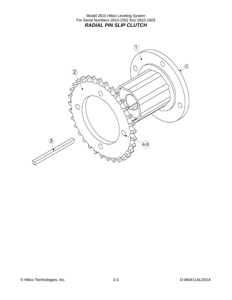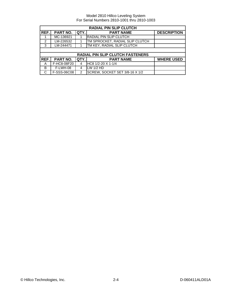| <b>RADIAL PIN SLIP CLUTCH</b> |             |               |                                         |                    |  |
|-------------------------------|-------------|---------------|-----------------------------------------|--------------------|--|
| REF.                          | PART NO.    | QTY.          | <b>PART NAME</b>                        | <b>DESCRIPTION</b> |  |
|                               | MC-136921   |               | <b>RADIAL PIN SLIP CLUTCH</b>           |                    |  |
| $\mathcal{P}$                 | LM-226532   |               | TM SPROCKET, RADIAL SLIP CLUTCH         |                    |  |
| 3                             | LM-244471   |               | TM KEY, RADIAL SLIP CLUTCH              |                    |  |
|                               |             |               |                                         |                    |  |
|                               |             |               | <b>RADIAL PIN SLIP CLUTCH FASTENERS</b> |                    |  |
| REF.                          | PART NO.    | QTY.          | <b>PART NAME</b>                        | <b>WHERE USED</b>  |  |
| A                             | F-HC8-08F20 | 4             | HC8 1/2-20 X 1-1/4                      |                    |  |
| B                             | F-LWH-08    | 4             | LW 1/2 HD                               |                    |  |
| C                             | F-SSS-06C08 | $\mathcal{P}$ | SCREW, SOCKET SET 3/8-16 X 1/2          |                    |  |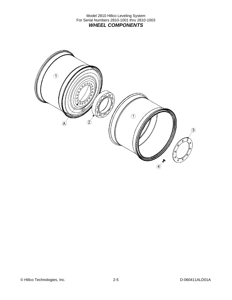Model 2810 Hillco Leveling System For Serial Numbers 2810-1001 thru 2810-1003 *WHEEL COMPONENTS* 



© Hillco Technologies, Inc. 2-5 2012 12:5 D-060411ALD01A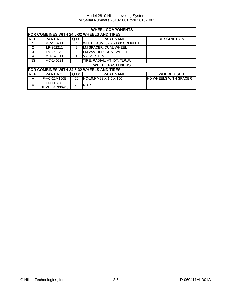| <b>WHEEL COMPONENTS</b> |                                   |                |                                            |                              |  |
|-------------------------|-----------------------------------|----------------|--------------------------------------------|------------------------------|--|
|                         |                                   |                | FOR COMBINES WITH 24.5-32 WHEELS AND TIRES |                              |  |
| REF.                    | <b>PART NO.</b>                   | QTY.           | <b>PART NAME</b>                           | <b>DESCRIPTION</b>           |  |
| 1                       | MC-140211                         | 4              | WHEEL ASM, 32 X 21.00 COMPLETE             |                              |  |
| $\mathfrak{p}$          | LP-252211                         | $\overline{2}$ | LM SPACER, DUAL WHEEL                      |                              |  |
| 3                       | LM-252231                         | 2              | LM WASHER, DUAL WHEEL                      |                              |  |
| 4                       | MC-141941                         | 4              | <b>VALVE STEM</b>                          |                              |  |
| <b>NS</b>               | MC-140231                         | 4              | TIRE, RADIAL, AT, DT, TLR1W                |                              |  |
|                         |                                   |                | <b>WHEEL FASTENERS</b>                     |                              |  |
|                         |                                   |                | FOR COMBINES WITH 24.5-32 WHEELS AND TIRES |                              |  |
| REF.                    | PART NO.                          | QTY.           | <b>PART NAME</b>                           | <b>WHERE USED</b>            |  |
| A                       | F-HC-22M150E                      | 20             | IHC-10.9 M22 X 1.5 X 150                   | <b>HD WHEELS WITH SPACER</b> |  |
| A                       | <b>CNH PART</b><br>NUMBER: 336945 | 20             | <b>NUTS</b>                                |                              |  |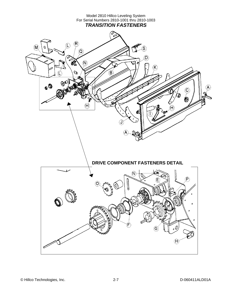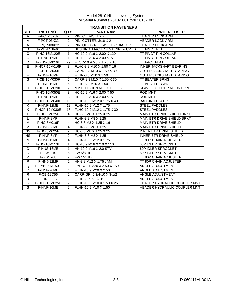|                       | <b>TRANSITION FASTENERS</b> |                |                                    |                                   |  |
|-----------------------|-----------------------------|----------------|------------------------------------|-----------------------------------|--|
| REF.                  | PART NO.                    | QTY.           | <b>PART NAME</b>                   | <b>WHERE USED</b>                 |  |
| A                     | F-PCL-16X32                 | 2              | PIN, CLEVIS, 1 X 2                 | <b>HEADER LOCK ARM</b>            |  |
| A                     | F-PCT-03X32                 | $\overline{2}$ | PIN, COTTER, 3/16 X 2              | <b>HEADER LOCK ARM</b>            |  |
| A                     | F-PQR-08X32                 | 2              | PIN, QUICK RELEASE 1/2" DIA. X 2"  | <b>HEADER LOCK ARM</b>            |  |
| B                     | F-MB-14NR40                 | 3              | BUSHING, MACH 14 GA, NR, 2-1/2" ID | ITT PIVOT PIN                     |  |
| $\overline{\text{c}}$ | F-HC-16M120E                | 1              | HC-10.9 M16 X 2.00 X 120           | <b>TT PIVOT PIN COLLAR</b>        |  |
| $\overline{\text{c}}$ | F-HNS-16ME                  | $\mathbf{1}$   | HN-10.9 M16 X 2.00 STV             | <b>TT PIVOT PIN COLLAR</b>        |  |
| D                     | F-FHS-8M016E                | 29             | FHSC-10.9 M8 X 1.25 X 16           | <b>TT FACE PLATE</b>              |  |
| E                     | F-HCF-10M016F               | 3              | FLHC-8.8 M10 X 1.50 X 16           | <b>INNER JACKSHAFT BEARING</b>    |  |
| F                     | F-CB-10M030F                | 3              | CARR-8.8 M10 X 1.50 X 30           | OUTER JACKSHAFT BEARING           |  |
| F                     | F-HNF-10MF                  | 3              | FLHN-8.8 M10 X 1.50                | OUTER JACKSHAFT BEARING           |  |
| G                     | F-CB-10M030F                | 6              | CARR-8.8 M10 X 1.50 X 30           | <b>TT BEATER BRNG</b>             |  |
| G                     | F-HNF-10MF                  | 6              | FLHN-8.8 M10 X 1.50                | <b>TT BEATER BRNG</b>             |  |
| H                     | F-HCF-10M020E               | $\overline{2}$ | MM FLHC-10.9 M10 X 1.50 X 20       | <b>SLAVE CYLINDER MOUNT PIN</b>   |  |
|                       | F-HC-16M050E                | 3              | HC-10.9 M16 X 2.00 X 50            | <b>ROD MNT</b>                    |  |
| ı                     | F-HNS-16ME                  | $\overline{3}$ | HN-10.9 M16 X 2.00 STV             | <b>ROD MNT</b>                    |  |
| J                     | F-HCF-12M040E               | 10             | FLHC-10.9 M12 X 1.75 X 40          | <b>BACKING PLATES</b>             |  |
| Κ                     | F-HNF-12ME                  | 18             | <b>I</b> FLHN-10.9 M12 X 1.75      | <b>STEEL PADDLES</b>              |  |
| K                     | F-HCF-12M030E               | 18             | FLHC-10.9 M12 X 1.75 X 30          | <b>STEEL PADDLES</b>              |  |
| L                     | F-HC-8M025F                 | 4              | HC-8.8 M8 X 1.25 X 25              | <b>MAIN BTR DRIVE SHIELD BRKT</b> |  |
| L                     | F-HNF-8MF                   | 4              | FLHN-8.8 M8 X 1.25                 | MAIN BTR DRIVE SHIELD BRKT        |  |
| м                     | F-HC-8M016F                 | 4              | HC-8.8 M8 X 1.25 X 16              | <b>MAIN BTR DRIVE SHIELD</b>      |  |
| M                     | F-HNF-08MF                  | $\overline{4}$ | FLHN-8.8 M8 X 1.25                 | <b>MAIN BTR DRIVE SHIELD</b>      |  |
| <b>NS</b>             | F-HC-8M025F                 | $\overline{2}$ | HC-8.8 M8 X 1.25 X 25              | <b>INNER BTR DRIVE SHIELD</b>     |  |
| <b>NS</b>             | F-HNF-8MF                   | 2              | FLHN-8.8 M8 X 1.25                 | <b>INNER BTR DRIVE SHIELD</b>     |  |
| ${\sf N}$             | F-HNF-12ME                  | 4              | FLHN-10.9 M12 X 1.75               | TT 80P CHAIN ADJUSTER             |  |
| $\Omega$              | F-HC-16M110E                | 1              | HC-10.9 M16 X 2.0 X 110            | 60P IDLER SPROCKET                |  |
| $\circ$               | F-HNS-16ME                  | 1              | HN-10.9 M16 X 2.0 STV              | 60P IDLER SPROCKET                |  |
| $\circ$               | F-FWH-10                    | 5              | <b>FW 5/8 HD</b>                   | 60P IDLER SPROCKET                |  |
| P                     | F-FWH-08                    | $\overline{2}$ | <b>FW 1/2 HD</b>                   | TT 80P CHAIN ADJUSTER             |  |
| $\overline{P}$        | F-HNJ-12MF                  | 2              | HN-8.8 M12 X 1.75 JAM              | TT 80P CHAIN ADJUSTER             |  |
| Q                     | F-EYB-20M150E               | 2              | EYEBOLT M20 X 2.50 X 150           | ANGLE ADJUSTMENT                  |  |
| Q                     | F-HNF-20ME                  | 4              | FLHN-10.9 M20 X 2.50               | <b>ANGLE ADJUSTMENT</b>           |  |
| R                     | F-CB-12C56                  | $\overline{2}$ | CARR-GR. 5 3/4-10 X 3-1/2          | ANGLE ADJUSTMENT                  |  |
| R                     | F-HNF-12C                   | 2              | FLHN-GR, 5 3/4-10                  | ANGLE ADJUSTMENT                  |  |
| $\overline{s}$        | F-HCF-10M025E               | $\overline{2}$ | FLHC-10.9 M10 X 1.50 X 25          | HEADER HYDRAULIC COUPLER MNT      |  |
| $\overline{s}$        | F-HNF-10ME                  | $\overline{2}$ | FLHN-10.9 M10 X 1.50               | HEADER HYDRAULIC COUPLER MNT      |  |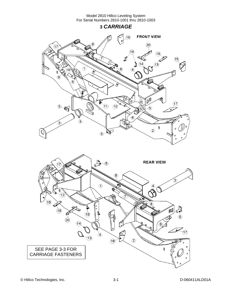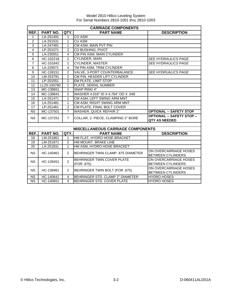|                 | <b>CARRIAGE COMPONENTS</b> |                          |                                                 |                                                   |  |  |  |
|-----------------|----------------------------|--------------------------|-------------------------------------------------|---------------------------------------------------|--|--|--|
| REF.            | PART NO.                   | QTY.                     | <b>PART NAME</b>                                | <b>DESCRIPTION</b>                                |  |  |  |
| 1               | LA-251491                  | $\mathbf{1}$             | CO ASM                                          |                                                   |  |  |  |
| $\overline{2}$  | LA-251531                  | $\mathbf{1}$             | <b>CU ASM</b>                                   |                                                   |  |  |  |
| 3               | LA-247481                  | $\mathbf{1}$             | CM ASM, MAIN PVT PIN                            |                                                   |  |  |  |
| $\overline{4}$  | LP-251071                  | $\overline{2}$           | CO BUSHING, PIVOT                               |                                                   |  |  |  |
| $\overline{5}$  | LA-230551                  | $\overline{4}$           | CM PIN ASM, MAIN CYLINDER                       |                                                   |  |  |  |
| $\overline{6}$  | HC-102218                  | $\overline{2}$           | <b>CYLINDER, MAIN</b>                           | <b>SEE HYDRAULICS PAGE</b>                        |  |  |  |
| $\overline{7}$  | HC-101842                  | $\mathbf{1}$             | <b>CYLINDER, MASTER</b>                         | <b>SEE HYDRAULICS PAGE</b>                        |  |  |  |
| 8               | LA-229071                  | 4                        | TM PIN ASM, TRIM CYLINDER                       |                                                   |  |  |  |
| 9               | HC-139151                  | 2                        | VALVE, 3-PORT COUNTERBALANCE                    | <b>SEE HYDRUALICS PAGE</b>                        |  |  |  |
| 10              | LM-253791                  | $\overline{2}$           | CM PIN, HEADER LIFT CYLINDER                    |                                                   |  |  |  |
| 11              | LP-251551                  | $\overline{c}$           | <b>EM PLATE, LIMIT STOP</b>                     |                                                   |  |  |  |
| 12              | LL20-100790                | 1                        | PLATE, SERIAL NUMBER                            |                                                   |  |  |  |
| $\overline{13}$ | MC-138651                  | $\mathbf{1}$             | SNAP RING 4"                                    |                                                   |  |  |  |
| 14              | MC-138641                  | $\overline{2}$           | WASHER 4.016" ID X 4.764" OD X .048             |                                                   |  |  |  |
| $\overline{15}$ | LA-251471                  | $\mathbf{1}$             | CM ASM, LEFT SWING ARM MNT                      |                                                   |  |  |  |
| 16              | LA-251481                  | $\mathbf{1}$             | CM ASM, RIGHT SWING ARM MNT                     |                                                   |  |  |  |
| 17              | LP-251461                  | $\overline{2}$           | CM PLATE, FINAL BOLT COVER                      |                                                   |  |  |  |
| <b>NS</b>       | MC-137501                  | $\overline{\mathcal{L}}$ | <b>WASHER, QUICK REPAIR 2"</b>                  | <b>OPTIONAL -- SAFETY STOP</b>                    |  |  |  |
| <b>NS</b>       | MC-137251                  | $\tilde{?}$              | COLLAR, 2- PIECE, CLAMPING 2" BORE              | <b>OPTIONAL -- SAFETY STOP --</b>                 |  |  |  |
|                 |                            |                          |                                                 | <b>QTY AS NEEDED</b>                              |  |  |  |
|                 |                            |                          |                                                 |                                                   |  |  |  |
|                 |                            |                          | <b>MISCELLANEOUS CARRIAGE COMPONENTS</b>        |                                                   |  |  |  |
| REF.            | <b>PART NO.</b>            | QTY.                     | <b>PART NAME</b>                                | <b>DESCRIPTION</b>                                |  |  |  |
| 18              | LM-251861                  | 1                        | HM FLAT, HYDRO HOSE BRACKET                     |                                                   |  |  |  |
| 19              | LM-251871                  | 2                        | HM MOUNT, BRAKE LINE                            |                                                   |  |  |  |
| 20              | LA-251831                  | 1                        | HM ASM, HYDRO HOSE BRACKET                      |                                                   |  |  |  |
| <b>NS</b>       | HC-140461                  | $\overline{2}$           | <b>BEHRINGER TWIN CLAMP .875 DIAMETER</b>       | ON OVERCARRIAGE HOSES<br><b>BETWEEN CYLINDERS</b> |  |  |  |
| <b>NS</b>       | HC-139451                  | $\overline{2}$           | <b>BEHRINGER TWIN COVER PLATE</b><br>(FOR .875) | ON OVERCARRIAGE HOSES<br><b>BETWEEN CYLINDERS</b> |  |  |  |
| NS.             | HC-139461                  | 2                        | BEHRINGER TWIN BOLT (FOR .875)                  | ON OVERCARRIAGE HOSES<br><b>BETWEEN CYLINDERS</b> |  |  |  |
| <b>NS</b>       | HC-140641                  | $\overline{4}$           | BEHRINGER STD. CLAMP 2" DIAMETER                | <b>HYDRO HOSES</b>                                |  |  |  |
| <b>NS</b>       | HC-140651                  | $\overline{4}$           | BEHRINGER STD. COVER PLATE                      | <b>HYDRO HOSES</b>                                |  |  |  |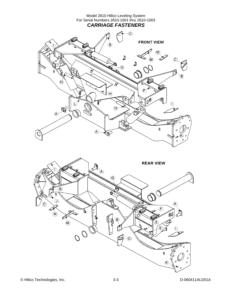

© Hillco Technologies, Inc. 3-3 D-060411ALD01A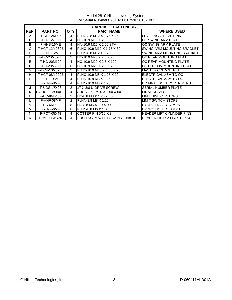|      | <b>CARRIAGE FASTENERS</b> |                |                                  |                                  |  |
|------|---------------------------|----------------|----------------------------------|----------------------------------|--|
| REF. | <b>PART NO.</b>           | QTY.           | <b>PART NAME</b>                 | <b>WHERE USED</b>                |  |
| A    | <b>F-HCF-12M025F</b>      | $\overline{4}$ | FLHC-8.8 M12 X 1.75 X 25         | LEVELING CYL MNT PIN             |  |
| B    | F-HC-16M050E              | 4              | IHC-10.9 M16 X 2.00 X 50         | OC SWING ARM PLATE               |  |
| B    | F-HNS-16ME                | 4              | HN-10.9 M16 X 2.00 STV           | OC SWING ARM PLATE               |  |
| C    | F-HCF-12M030E             | 6              | IFLHC-10.9 M12 X 1.75 X 30       | SWING ARM MOUNTING BRACKET       |  |
| С    | F-HNF-12MF                | 6              | IFLHN-8.8 M12 X 1.75             | SWING ARM MOUNTING BRACKET       |  |
| D    | F-HC-20M070E              | $\mathfrak{p}$ | HC-10.9 M20 X 2.5 X 70           | OC REAR MOUNTING PLATE           |  |
| E    | F-HC-20M120               | 4              | HC-10.9 M20 X 2.5 X 120          | OC REAR MOUNTING PLATE           |  |
| F    | F-HC-20M280E              | 6              | IHC-10.9 M20 X 2.5 X 280         | OC BOTTOM MOUNTING PLATE         |  |
| G    | F-HCF-10M020E             | $\overline{2}$ | FLHC-10.9 M10 X 1.50 X 20        | MASTER CYL MNT PIN               |  |
| H    | F-HCF-08M020E             | 4              | IFLHC-10.9 M8 X 1.25 X 20        | ELECTRICAL ASM TO OC             |  |
| н    | F-HNF-08ME                | 4              | FLHN-10.9 M8 X 1.25              | ELECTRICAL ASM TO OC             |  |
|      | F-HNF-8MF                 | 4              | FLHN-10.9 M8 X 1.25              | UC FINAL BOLT COVER PLATES       |  |
| J    | F-UDS-#7X06               | $\mathcal{P}$  | #7 X 3/8 U-DRIVE SCREW           | <b>SERIAL NUMBER PLATE</b>       |  |
| K    | F-SHC-20M060E             | 4              | SHCS-10.9 M20 X 2.50 X 60        | <b>FINAL DRIVES</b>              |  |
|      | F-HC-8M040F               | $\mathcal{P}$  | HC-8.8 M8 X 1.25 X 40            | LIMIT SWITCH STOPS               |  |
|      | F-HNF-08MF                | $\mathcal{P}$  | FLHN-8.8 M8 X 1.25               | <b>LIMIT SWITCH STOPS</b>        |  |
| М    | F-HC-6M090F               | 8              | HC-8.8 M6 X 1.0 X 90             | <b>HYDRO HOSE CLAMPS</b>         |  |
| M    | F-HNF-6MF                 | 8              | FLHN-8.8 M6 X 1.0                | <b>HYDRO HOSE CLAMPS</b>         |  |
| N    | F-PCT-05X48               | 4              | COTTER PIN 5/16 X 3              | <b>HEADER LIFT CYLINDER PINS</b> |  |
| N    | F-MB-14WR26               | 4              | BUSHING, MACH 14 GA NR 1-5/8" ID | HEADER LIFT CYLINDER PINS        |  |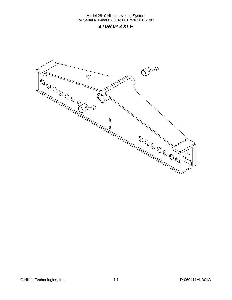## **4** *DROP AXLE*

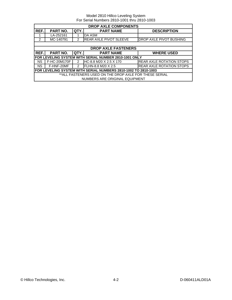|                                                                | <b>DROP AXLE COMPONENTS</b>                            |      |                                                        |                                 |  |  |
|----------------------------------------------------------------|--------------------------------------------------------|------|--------------------------------------------------------|---------------------------------|--|--|
| REF.                                                           | <b>PART NO.</b>                                        | QTY. | <b>PART NAME</b>                                       | <b>DESCRIPTION</b>              |  |  |
|                                                                | LA-252161                                              |      | DA ASM                                                 |                                 |  |  |
| 2                                                              | MC-140791                                              | 2    | <b>REAR AXLE PIVOT SLEEVE</b>                          | DROP AXLE PIVOT BUSHING         |  |  |
|                                                                |                                                        |      |                                                        |                                 |  |  |
|                                                                |                                                        |      | <b>DROP AXLE FASTENERS</b>                             |                                 |  |  |
| REF.                                                           | PART NO.                                               | QTY. | <b>PART NAME</b>                                       | <b>WHERE USED</b>               |  |  |
|                                                                |                                                        |      | IFOR LEVELING SYSTEM WITH SERIAL NUMBER 2810-1001 ONLY |                                 |  |  |
| <b>NS</b>                                                      | F-HC-20M170F                                           | 2    | HC-8.8 M20 X 2.5 X 170                                 | <b>REAR AXLE ROTATION STOPS</b> |  |  |
| <b>NS</b>                                                      | F-HNF-20MF                                             | 2    | FLHN-8.8 M20 X 2.5                                     | <b>REAR AXLE ROTATION STOPS</b> |  |  |
| FOR LEVELING SYSTEM WITH SERIAL NUMBERS 2810-1002 TO 2810-1003 |                                                        |      |                                                        |                                 |  |  |
|                                                                | **ALL FASTENERS USED ON THE DROP AXLE FOR THESE SERIAL |      |                                                        |                                 |  |  |
|                                                                |                                                        |      | NUMBERS ARE ORIGINAL EQUIPMENT                         |                                 |  |  |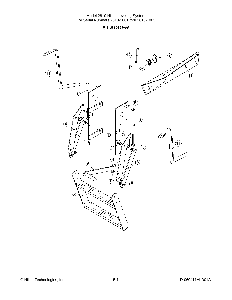## **5** *LADDER*

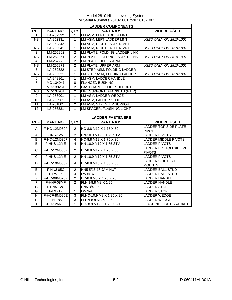|                         | <b>LADDER COMPONENTS</b>  |                   |                                               |                                                      |  |  |
|-------------------------|---------------------------|-------------------|-----------------------------------------------|------------------------------------------------------|--|--|
| REF.                    | PART NO.                  | QTY.              | <b>PART NAME</b>                              | <b>WHERE USED</b>                                    |  |  |
| $\mathbf{1}$            | LA-252332                 | $\mathbf{1}$      | LM ASM, LEFT LADDER MNT                       |                                                      |  |  |
| <b>NS</b>               | LA-252331                 | 1                 | LM ASM, LEFT LADDER MNT                       | <b>USED ONLY ON 2810-1001</b>                        |  |  |
| $\overline{2}$          | LA-252342                 | $\overline{1}$    | LM ASM, RIGHT LADDER MNT                      |                                                      |  |  |
| $\overline{\text{NS}}$  | LA-252341                 | $\mathbf{1}$      | LM ASM, RIGHT LADDER MNT                      | <b>USED ONLY ON 2810-1001</b>                        |  |  |
| 3                       | LM-252262                 | $\overline{2}$    | LM PLATE, FOLDING LADDER LINK                 |                                                      |  |  |
| $\overline{\text{NS}}$  | LM-252261                 | $\overline{2}$    | LM PLATE, FOLDING LADDER LINK                 | <b>USED ONLY ON 2810-1001</b>                        |  |  |
| $\overline{4}$          | LM-252272                 | $\overline{2}$    | LM PLATE, UPPER ARM                           |                                                      |  |  |
| $\overline{\text{NS}}$  | LM-252271                 | 2                 | LM PLATE, UPPER ARM                           | <b>USED ONLY ON 2810-1001</b>                        |  |  |
| 5                       | LA-252322                 | $\mathbf{1}$      | LM STEP ASM, FOLDING LADDER                   |                                                      |  |  |
| $\overline{\text{NS}}$  | LA-252321                 | $\mathbf{1}$      | LM STEP ASM, FOLDING LADDER                   | <b>USED ONLY ON 2810-1001</b>                        |  |  |
| $\overline{6}$          | LA-248861                 | $\overline{1}$    | LM ASM, LADDER HANDLE                         |                                                      |  |  |
| $\overline{7}$          | MC-134941                 | 8                 | <b>FLANGED BUSHING</b>                        |                                                      |  |  |
| $\overline{8}$          | MC-139251                 | $\mathfrak{p}$    | <b>GAS CHARGED LIFT SUPPORT</b>               |                                                      |  |  |
| $\overline{\text{NS}}$  | MC-134931                 | 2                 | <b>LIFT SUPPORT BRACKETS (PAIR)</b>           |                                                      |  |  |
| 9                       | LA-253901                 | 1                 | LM ASM, LADDER WEDGE                          |                                                      |  |  |
| 10                      | LA-253961                 | 1                 | LM ASM, LADDER STOP                           |                                                      |  |  |
| 11                      | LA-251801                 | $\overline{2}$    | LM ASM, SIDE STEP SUPPORT                     |                                                      |  |  |
| 12                      | LS-256381                 | 1                 | LM SPACER, FLASHING LIGHT                     |                                                      |  |  |
|                         |                           |                   |                                               |                                                      |  |  |
| <b>LADDER FASTENERS</b> |                           |                   |                                               |                                                      |  |  |
|                         |                           |                   |                                               |                                                      |  |  |
| REF.                    | PART NO.                  | QTY.              | <b>PART NAME</b>                              | <b>WHERE USED</b>                                    |  |  |
| A                       | F-HC-12M050F              | 2                 | HC-8.8 M12 X 1.75 X 50                        | <b>LADDER TOP SIDE PLATE</b>                         |  |  |
|                         |                           |                   |                                               | <b>PIVOT</b>                                         |  |  |
| A                       | F-HNS-12ME                | $\overline{2}$    | HN-10.9 M12 X 1.75 STV                        | <b>LADDER PIVOTS</b>                                 |  |  |
| В                       | F-HC-12M030F              | 4                 | HC-8.8 M12 X 1.75 X 30                        | <b>LADDER MIDDLE PIVOTS</b>                          |  |  |
| B                       | F-HNS-12ME                | 4                 | HN-10.9 M12 X 1.75 STV                        | <b>LADDER PIVOTS</b>                                 |  |  |
| C                       | F-HC-12M060F              | $\overline{2}$    | HC-8.8 M12 X 1.75 X 60                        | LADDER BOTTOM SIDE PLT<br><b>PIVOTS</b>              |  |  |
| $\overline{C}$          | F-HNS-12ME                | $\overline{2}$    | HN-10.9 M12 X 1.75 STV                        | <b>LADDER PIVOTS</b>                                 |  |  |
| D                       |                           | 4                 |                                               | <b>LADDER SIDE PLATE</b>                             |  |  |
|                         | F-HC-10M035F              |                   | HC-8.8 M10 X 1.50 X 35                        | <b>MOUNTS</b>                                        |  |  |
| Ē                       | F-HNJ-05C                 | $\overline{2}$    | <b>HN5 5/16-18 JAM NUT</b>                    | <b>LADDER BALL STUD</b>                              |  |  |
| E                       | F-LW-05                   | 4                 | LW 5/16                                       | <b>LADDER BALL STUD</b>                              |  |  |
| $\overline{F}$          | F-HC-08M025F              | $\overline{2}$    | HC-8.8 M8 X 1.25 X 25                         | LADDER HANDLE                                        |  |  |
| F                       | F-HNF-08MF                | $\overline{2}$    | FLHN-8.8 M8 X 1.25                            | <b>LADDER HANDLE</b>                                 |  |  |
| G                       | $F-HN5-12C$               | $\mathbf{1}$      | HN5 3/4-10                                    | <b>LADDER STOP</b>                                   |  |  |
| G                       | $F-LW-12$                 | $\mathbf{1}$      | LW 3/4                                        | <b>LADDER STOP</b>                                   |  |  |
| Η                       | F-HCF-8M020E              | 3                 | FLHC-10.9 M8 X 1.25 X 20                      | <b>LADDER WEDGE</b>                                  |  |  |
| $\overline{\mathsf{H}}$ | F-HNF-8MF<br>F-HC-12M280F | 3<br>$\mathbf{1}$ | FLHN-8.8 M8 X 1.25<br>HC-8.8 M12 X 1.75 X 280 | <b>LADDER WEDGE</b><br><b>FLASHING LIGHT BRACKET</b> |  |  |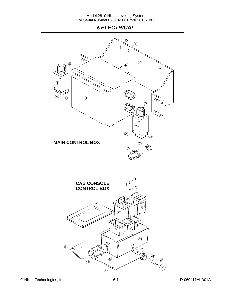## **6** *ELECTRICAL*



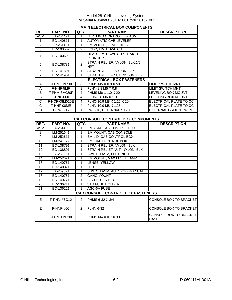|                 | <b>MAIN ELECTRICAL BOX COMPONENTS</b> |                |                                              |                                |  |
|-----------------|---------------------------------------|----------------|----------------------------------------------|--------------------------------|--|
| REF.            | <b>PART NO.</b>                       | QTY.           | <b>PART NAME</b>                             | <b>DESCRIPTION</b>             |  |
| ASM             | LA-254471                             | 1              | LEVELING CONTROLLER ASM                      |                                |  |
| 1               | EC-140611                             | 1              | <b>AUTOMATIC CAB LEVELER</b>                 |                                |  |
| $\overline{2}$  | LP-251431                             | 1              | EM MOUNT, LEVELING BOX                       |                                |  |
| $\overline{3}$  | EC-100557                             | $\overline{2}$ | <b>BODY, LIMIT SWITCH</b>                    |                                |  |
| 4               | EC-100692                             | $\overline{2}$ | HEAD, LIMIT SWITCH STRAIGHT                  |                                |  |
|                 |                                       |                | <b>PLUNGER</b>                               |                                |  |
| 5               | EC-138781                             | $\overline{2}$ | STRAIN RELIEF, NYLON, BLK, 1/2<br><b>NPT</b> |                                |  |
| 6               | EC-141891                             | 1              | STRAIN RELIEF, NYLON, BLK                    |                                |  |
| 7               | EC-141901                             | 1              | STRAIN RELIEF NUT, NYLON, BLK                |                                |  |
|                 |                                       |                | <b>ELECTRICAL BOX FASTENERS</b>              |                                |  |
| A               | F-PHM-5M050F                          | 8              | PHMS M5 X 0.8 X 50                           | <b>LIMIT SWITCH MNT</b>        |  |
| Α               | F-HNF-5MF                             | 8              | FLHN-8.8 M5 X 0.8                            | <b>LIMIT SWITCH MNT</b>        |  |
| B               | F-PHM-6M020F                          | 4              | PHMS M6 X 1.0 X 20                           | LEVELING BOX MOUNT             |  |
| B               | F-HNF-6MF                             | 4              | FLHN-8.8 M6 X 1.0                            | LEVELING BOX MOUNT             |  |
| C               | F-HCF-08M020E                         | 4              | FLHC-10.9 M8 X 1.25 X 20                     | <b>ELECTRICAL PLATE TO OC</b>  |  |
| C               | F-HNF-08ME                            | 4              | FLHN-10.9 M8 X 1.25                          | <b>ELECTRICAL PLATE TO OC</b>  |  |
| D               | <b>F-LWE-05</b>                       | 1              | LW 5/16, EXTERNAL STAR                       | <b>EXTERNAL GROUND WIRE</b>    |  |
|                 |                                       |                |                                              |                                |  |
|                 |                                       |                | <b>CAB CONSOLE CONTROL BOX COMPONENTS</b>    |                                |  |
| REF.            | PART NO.                              | QTY.           | <b>PART NAME</b>                             | <b>DESCRIPTION</b>             |  |
| ASM             | LA-254452                             | 1              | EM ASM, CAB CONTROL BOX                      |                                |  |
| 8               | LM-251641                             | 1              | EM MOUNT, CAB CONSOLE                        |                                |  |
| 9               | LM-252611                             | 1              | EM LID, CAB CONTROL BOX                      |                                |  |
| 10              | LM-241122                             | 1              | EM, CAB CONTROL BOX                          |                                |  |
| 11              | EC-138791                             | 1              | STRAIN RELIEF, NYLON, BLK                    |                                |  |
| $\overline{12}$ | EC-138801                             | 1              | STRAIN RELIEF NUT, NYLON, BLK                |                                |  |
| 13              | LA-259661                             | 1              | SWITCH ASM, LEFT-RIGHT                       |                                |  |
| 14              | LM-252621                             | 1              | EM MOUNT, MAX LEVEL LAMP                     |                                |  |
| 15              | EC-140761                             | 1              | LENSE, YELLOW                                |                                |  |
| 16              | EC-140871                             | 1              | <b>LED</b>                                   |                                |  |
| 17              | LA-259671                             | $\mathbf{1}$   | SWITCH ASM, AUTO-OFF-MANUAL                  |                                |  |
| 18              | EC-140751                             | $\overline{c}$ | <b>GANG MOUNT</b>                            |                                |  |
| 19              | EC-140771                             | 1              | <b>BEZEL, CENTER</b>                         |                                |  |
| 20              | EC-136211                             | 1              | <b>3AG FUSE HOLDER</b>                       |                                |  |
| 21              | EC-136221                             | 1              | <b>AGC-6A FUSE</b>                           |                                |  |
|                 |                                       |                | <b>CAB CONSOLE CONTROL BOX FASTENERS</b>     |                                |  |
| E               | $F-PHM-#6C12$                         | $\overline{2}$ | PHMS 6-32 X 3/4                              | CONSOLE BOX TO BRACKET         |  |
| E.              | F-HNF-#6C                             | $\overline{2}$ | <b>FLHN 6-32</b>                             | <b>CONSOLE BOX TO BRACKET</b>  |  |
| F               | F-PHM-4M030F                          | $\mathcal{P}$  | PHMS M4 X 0.7 X 30                           | CONSOLE BOX TO BRACKET<br>DASH |  |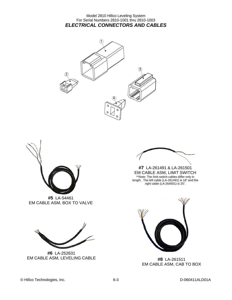#### Model 2810 Hillco Leveling System For Serial Numbers 2810-1001 thru 2810-1003 *ELECTRICAL CONNECTORS AND CABLES*





**#5** LA-54461 EM CABLE ASM, BOX TO VALVE



**#7** LA-261491 & LA-261501 EM CABLE ASM, LIMIT SWITCH \*\*Note: The limit switch cables differ only in length. The left cable (LA-261491) is 18" and the right cable (LA-264501) is 25".



**#8** LA-261511 EM CABLE ASM, CAB TO BOX



**#6** LA-252631 EM CABLE ASM, LEVELING CABLE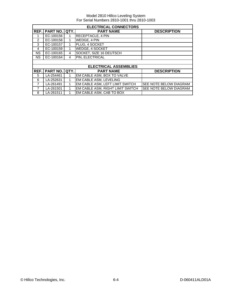|           | <b>ELECTRICAL CONNECTORS</b> |      |                                  |                               |  |  |  |
|-----------|------------------------------|------|----------------------------------|-------------------------------|--|--|--|
| REF.      | PART NO. QTY.                |      | <b>PART NAME</b>                 | <b>DESCRIPTION</b>            |  |  |  |
|           | EC-100156                    |      | <b>RECEPTACLE, 4 PIN</b>         |                               |  |  |  |
| 2         | EC-100158                    |      | <b>WEDGE, 4 PIN</b>              |                               |  |  |  |
| 3         | EC-100157                    |      | PLUG, 4 SOCKET                   |                               |  |  |  |
| 4         | EC-100159                    | 1    | <b>WEDGE, 4 SOCKET</b>           |                               |  |  |  |
| <b>NS</b> | EC-100165                    | 4    | SOCKET, SIZE 16 DEUTSCH          |                               |  |  |  |
| <b>NS</b> | EC-100164                    | 4    | PIN, ELECTRICAL                  |                               |  |  |  |
|           |                              |      |                                  |                               |  |  |  |
|           |                              |      | <b>ELECTRICAL ASSEMBLIES</b>     |                               |  |  |  |
| REF.      | PART NO.                     | QTY. | <b>PART NAME</b>                 | <b>DESCRIPTION</b>            |  |  |  |
| 5         | LA-254461                    |      | EM CABLE ASM, BOX TO VALVE       |                               |  |  |  |
| 6         | LA-252631                    |      | EM CABLE ASM, LEVELING           |                               |  |  |  |
| 7         | LA-261491                    |      | EM CABLE ASM, LEFT LIMIT SWITCH  | SEE NOTE BELOW DIAGRAM        |  |  |  |
| 7         | LA-261501                    |      | EM CABLE ASM, RIGHT LIMIT SWITCH | <b>SEE NOTE BELOW DIAGRAM</b> |  |  |  |
| 8         | LA-261511                    |      | EM CABLE ASM, CAB TO BOX         |                               |  |  |  |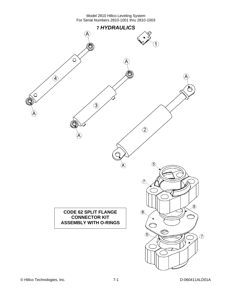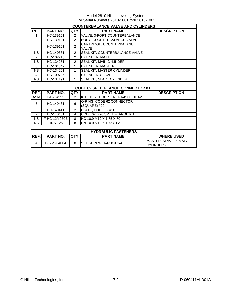|                            | <b>COUNTERBALANCE VALVE AND CYLINDERS</b> |                |                                           |                                           |  |  |
|----------------------------|-------------------------------------------|----------------|-------------------------------------------|-------------------------------------------|--|--|
| REF.                       | <b>PART NO.</b>                           | QTY.           | <b>PART NAME</b>                          | <b>DESCRIPTION</b>                        |  |  |
| 1                          | HC-139151                                 | $\overline{2}$ | VALVE, 3-PORT COUNTERBALANCE              |                                           |  |  |
|                            | HC-139181                                 | $\overline{2}$ | <b>BODY, COUNTERBALANCE VALVE</b>         |                                           |  |  |
| ٠.                         | HC-139161                                 | $\overline{2}$ | CARTRIDGE, COUNTERBALANCE<br>VALVE        |                                           |  |  |
| <b>NS</b>                  | HC-140361                                 | $\mathcal{P}$  | SEAL KIT, COUNTERBALANCE VALVE            |                                           |  |  |
| $\overline{2}$             | HC-102218                                 | $\overline{2}$ | CYLINDER, MAIN                            |                                           |  |  |
| <b>NS</b>                  | HC-134251                                 | $\overline{2}$ | SEAL KIT, MAIN CYLINDER                   |                                           |  |  |
| 3                          | HC-101842                                 | $\mathbf{1}$   | <b>CYLINDER, MASTER</b>                   |                                           |  |  |
| <b>NS</b>                  | HC-134201                                 | $\mathbf{1}$   | SEAL KIT, MASTER CYLINDER                 |                                           |  |  |
| 4                          | HC-100706                                 | 1              | <b>CYLINDER, SLAVE</b>                    |                                           |  |  |
| <b>NS</b>                  | HC-134191                                 | $\mathbf{1}$   | <b>SEAL KIT, SLAVE CYLINDER</b>           |                                           |  |  |
|                            |                                           |                |                                           |                                           |  |  |
|                            |                                           |                | <b>CODE 62 SPLIT FLANGE CONNECTOR KIT</b> |                                           |  |  |
| REF.                       | PART NO.                                  | QTY.           | <b>PART NAME</b>                          | <b>DESCRIPTION</b>                        |  |  |
| <b>ASM</b>                 | LA-254951                                 | $\overline{2}$ | KIT, HOSE COUPLER, 1-1/4" CODE 62         |                                           |  |  |
| 5                          | HC-140431                                 | 6              | O-RING, CODE 62 CONNECTOR<br>(SQUARE) #20 |                                           |  |  |
| 6                          | HC-140441                                 | $\overline{2}$ | PLATE, CODE 62,#20                        |                                           |  |  |
| $\overline{7}$             | HC-140451                                 | 4              | CODE 62, #20 SPLIT FLANGE KIT             |                                           |  |  |
| <b>NS</b>                  | F-HC-12M070E                              | 8              | HC-10.9 M12 X 1.75 X 70                   |                                           |  |  |
| <b>NS</b>                  | F-HNS-12ME                                | 8              | HN-10.9 M12 X 1.75 STV                    |                                           |  |  |
|                            |                                           |                |                                           |                                           |  |  |
| <b>HYDRAULIC FASTENERS</b> |                                           |                |                                           |                                           |  |  |
| REF.                       | PART NO.                                  | QTY.           | <b>PART NAME</b>                          | <b>WHERE USED</b>                         |  |  |
| A                          | F-SSS-04F04                               | 8              | SET SCREW, 1/4-28 X 1/4                   | MASTER, SLAVE, & MAIN<br><b>CYLINDERS</b> |  |  |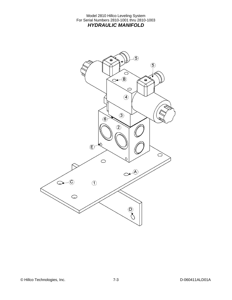Model 2810 Hillco Leveling System For Serial Numbers 2810-1001 thru 2810-1003 *HYDRAULIC MANIFOLD* 

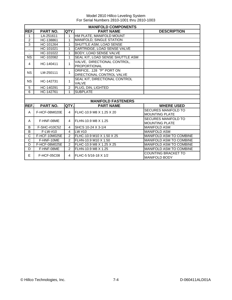|                                                                           | <b>MANIFOLD COMPONENTS</b> |                |                                  |                                                    |  |  |  |  |  |  |
|---------------------------------------------------------------------------|----------------------------|----------------|----------------------------------|----------------------------------------------------|--|--|--|--|--|--|
| REF.<br><b>PART NO.</b><br>QTY.<br><b>PART NAME</b><br><b>DESCRIPTION</b> |                            |                |                                  |                                                    |  |  |  |  |  |  |
| $\mathbf{1}$                                                              | LA-251611                  | 1              | HM PLATE, MANIFOLD MOUNT         |                                                    |  |  |  |  |  |  |
| $\overline{2}$                                                            | HC-138861                  | 1              | <b>MANIFOLD, SINGLE STATION</b>  |                                                    |  |  |  |  |  |  |
| 3                                                                         | HC-101264                  | 1              | <b>SHUTTLE ASM, LOAD SENSE</b>   |                                                    |  |  |  |  |  |  |
| ٠.                                                                        | HC-101021                  | 1              | CARTRIDGE, LOAD SENSE VALVE      |                                                    |  |  |  |  |  |  |
|                                                                           | HC-101022                  | 1              | <b>BODY, LOAD SENSE VALVE</b>    |                                                    |  |  |  |  |  |  |
| <b>NS</b>                                                                 | HC-102082                  | 1              | SEAL KIT, LOAD SENSE SHUTTLE ASM |                                                    |  |  |  |  |  |  |
| 4                                                                         | HC-140411                  | 1              | VALVE, DIRECTIONAL CONTROL,      |                                                    |  |  |  |  |  |  |
|                                                                           |                            |                | <b>PROPORTIONAL</b>              |                                                    |  |  |  |  |  |  |
| <b>NS</b>                                                                 | LM-250111                  | 1              | ORIFICE, .128 "P" PORT ON        |                                                    |  |  |  |  |  |  |
|                                                                           |                            |                | DIRECTIONAL CONTROL VALVE        |                                                    |  |  |  |  |  |  |
| <b>NS</b>                                                                 | HC-142731                  | 1              | SEAL KIT, DIRECTIONAL CONTROL    |                                                    |  |  |  |  |  |  |
|                                                                           |                            |                | <b>VALVE</b>                     |                                                    |  |  |  |  |  |  |
| 5                                                                         | HC-140291                  | $\overline{2}$ | PLUG, DIN, LIGHTED               |                                                    |  |  |  |  |  |  |
| 6                                                                         | HC-142761                  | $\mathbf{1}$   | <b>SUBPLATE</b>                  |                                                    |  |  |  |  |  |  |
|                                                                           |                            |                |                                  |                                                    |  |  |  |  |  |  |
|                                                                           |                            |                | <b>MANIFOLD FASTENERS</b>        |                                                    |  |  |  |  |  |  |
| REF.                                                                      | PART NO.                   | QTY.           | <b>PART NAME</b>                 | <b>WHERE USED</b>                                  |  |  |  |  |  |  |
| A                                                                         | F-HCF-08M020E              | 4              | FLHC-10.9 M8 X 1.25 X 20         | <b>SECURES MANIFOLD TO</b>                         |  |  |  |  |  |  |
|                                                                           |                            |                |                                  | <b>MOUNTING PLATE</b>                              |  |  |  |  |  |  |
| A                                                                         | F-HNF-08ME                 | 4              | FLHN-10.9 M8 X 1.25              | <b>SECURES MANIFOLD TO</b>                         |  |  |  |  |  |  |
|                                                                           |                            |                |                                  | <b>MOUNTING PLATE</b>                              |  |  |  |  |  |  |
| B                                                                         | F-SHC-#10C52               | 4              | SHCS 10-24 X 3-1/4               | <b>MANIFOLD ASM</b>                                |  |  |  |  |  |  |
| B                                                                         | $F-LW-#10$                 | 4              | LW#10                            | <b>MANIFOLD ASM</b>                                |  |  |  |  |  |  |
| $\overline{\text{c}}$                                                     | F-HCF-10M025E              | $\mathcal{P}$  | FLHC-10.9 M10 X 1.50 X 25        | MANIFOLD ASM TO COMBINE                            |  |  |  |  |  |  |
| $\overline{\text{c}}$                                                     | F-HNF-10ME                 | $\mathcal{P}$  | FLHN-10.9 M10 X 1.50             | <b>MANIFOLD ASM TO COMBINE</b>                     |  |  |  |  |  |  |
| D                                                                         | F-HCF-08M025E              | $\overline{2}$ | FLHC-10.9 M8 X 1.25 X 25         | MANIFOLD ASM TO COMBINE                            |  |  |  |  |  |  |
| D                                                                         | F-HNF-08ME                 | $\overline{2}$ | FLHN-10.9 M8 X 1.25              | MANIFOLD ASM TO COMBINE                            |  |  |  |  |  |  |
| E<br>F-HCF-05C08<br>4                                                     |                            |                | FLHC-5 5/16-18 X 1/2             | <b>COUNTING BRACKET TO</b><br><b>MANIFOLD BODY</b> |  |  |  |  |  |  |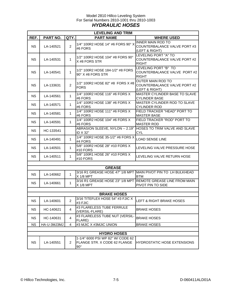#### Model 2810 Hillco Leveling System For Serial Numbers 2810-1001 thru 2810-1003 *HYDRAULIC HOSES*

|           |             |                | <b>LEVELING AND TRIM</b>                                                       |                                                                                   |
|-----------|-------------|----------------|--------------------------------------------------------------------------------|-----------------------------------------------------------------------------------|
| REF.      | PART NO.    | QTY.           | <b>PART NAME</b>                                                               | <b>WHERE USED</b>                                                                 |
| <b>NS</b> | LA-140521   | $\overline{2}$ | 1/4" 100R2 HOSE 14" #6 FORS 90° X<br>#6 FORS                                   | <b>INNER MAIN ROD TO</b><br>COUNTERBALANCE VALVE PORT #3<br>(LEFT & RIGHT)        |
| <b>NS</b> | LA-140531   | $\mathbf{1}$   | 1/2" 100R2 HOSE 104" #8 FORS 90°<br>X #8 FORS STR                              | LEVELING PORT "A" TO<br>COUNTERBALANCE VALVE PORT #2<br><b>RIGHT</b>              |
| <b>NS</b> | LA-140541   | 1              | 1/2" 100R2 HOSE 184-1/2" #8 FORS<br>$90^\circ$ X #8 FORS STR                   | LEVELING PORT "B" TO<br>COUNTERBALANCE VALVE PORT #2<br><b>RIGHT</b>              |
| <b>NS</b> | LA-133631   | $\overline{c}$ | 1/2" 100R2 HOSE 82" #8 FORS X #8<br><b>FORS</b>                                | <b>OUTER MAIN ROD TO</b><br>COUNTERBALANCE VALVE PORT #2<br>(LEFT & RIGHT)        |
| <b>NS</b> | LA-140561   | $\mathbf{1}$   | 1/4" 100R2 HOSE 116" #6 FORS X<br>#6 FORS                                      | MASTER CYLINDER BASE TO SLAVE<br><b>CYLINDER BASE</b>                             |
| <b>NS</b> | LA-140571   | $\mathbf{1}$   | 1/4" 100R2 HOSE 138" #6 FORS X<br>#6 FORS                                      | MASTER CYLINDER ROD TO SLAVE<br><b>CYLINDER ROD</b>                               |
| <b>NS</b> | LA-140581   | $\mathbf{1}$   | 1/4" 100R2 HOSE 111" #6 FORS X<br>#6 FORS                                      | FIELD TRACKER "HEAD" PORT TO<br><b>MASTER BASE</b>                                |
| <b>NS</b> | LA-140591   | 1              | 1/4" 100R2 HOSE 104" #6 FORS X<br>#6 FORS                                      | FIELD TRACKER "ROD" PORT TO<br><b>MASTER ROD</b>                                  |
| <b>NS</b> | HC-133541   |                | ABRASION SLEEVE, NYLON -- 2.19"<br>ID X 32"                                    | HOSES TO TRIM VALVE AND SLAVE<br><b>CYL</b>                                       |
| <b>NS</b> | LA-140491   | $\mathbf 1$    | 1/4" 100R2 HOSE 35-1/2" #6 FORS X<br>#4 FORS                                   | <b>LOAD SENSE LINE</b>                                                            |
| <b>NS</b> | LA-140501   | $\mathbf{1}$   | 5/8" 100R2 HOSE 28" #10 FORS X<br>#10 FORS                                     | LEVELING VALVE PRESSURE HOSE                                                      |
| <b>NS</b> | LA-140511   | $\mathbf{1}$   | 5/8" 100R1 HOSE 26" #10 FORS X<br>#10 FORS                                     | LEVELING VALVE RETURN HOSE                                                        |
|           |             |                |                                                                                |                                                                                   |
|           |             |                | <b>GREASE</b><br>3/16 R1 GREASE HOSE 47" 1/8 MPT MAIN PIVOT PIN TO LH BULKHEAD |                                                                                   |
| <b>NS</b> | LA-140662   | $\mathbf{1}$   | $X$ 1/8 MPT                                                                    | <b>BTM</b>                                                                        |
| <b>NS</b> | LA-140661   | 1              | X 1/8 MPT                                                                      | 3/16 R1 GREASE HOSE 23" 1/8 MPT REMOTE GREASE LINE FROM MAIN<br>PIVOT PIN TO SIDE |
|           |             |                | <b>BRAKE HOSES</b>                                                             |                                                                                   |
|           |             |                |                                                                                |                                                                                   |
| <b>NS</b> | LA-140601   | 2              | 3/16 TITEFLEX HOSE 54" #3 FJIC X<br>#3 FJIC                                    | LEFT & RIGHT BRAKE HOSES                                                          |
| <b>NS</b> | HC-140621   | 4              | #3 FLARELESS TUBE FERRULE<br>(VERSIL-FLARE)                                    | <b>BRAKE HOSES</b>                                                                |
| <b>NS</b> | HC-140631   | 4              | #3 FLARELESS TUBE NUT (VERSIL-<br>FLARE)                                       | <b>BRAKE HOSES</b>                                                                |
| <b>NS</b> | HA-U-3MJ3MJ | 4              | #3 MJIC X #3MJIC UNION                                                         | <b>BRAKE HOSES</b>                                                                |
|           |             |                |                                                                                |                                                                                   |
|           |             |                | <b>HYDRO HOSES</b><br>1-1/4" 6000 PSI WP 82" W/ CODE 62                        |                                                                                   |
| <b>NS</b> | LA-140551   | $\overline{2}$ | FLANGE STR. X CODE 62 FLANGE<br>$90^{\circ}$                                   | <b>HYDROSTATIC HOSE EXTENSIONS</b>                                                |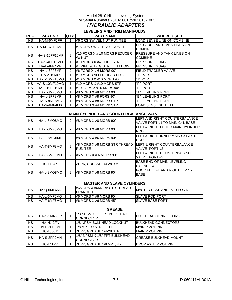#### Model 2810 Hillco Leveling System For Serial Numbers 2810-1001 thru 2810-1003 *HYDRAULIC ADAPTERS*

| <b>LEVELING AND TRIM MANIFOLDS</b> |                  |                |                                        |                                  |  |  |  |  |
|------------------------------------|------------------|----------------|----------------------------------------|----------------------------------|--|--|--|--|
| <b>REF.</b>                        | PART NO.         | QTY.           | <b>PART NAME</b>                       | <b>WHERE USED</b>                |  |  |  |  |
| <b>NS</b>                          | HA-M-6MF6FF      | 1              | #6 ORS SWIVEL NUT RUN TEE              | LOAD SENSE LINE ON COMBINE       |  |  |  |  |
|                                    |                  |                |                                        | PRESSURE AND TANK LINES ON       |  |  |  |  |
| <b>NS</b>                          | HA-M-16FF16MF    | 2              | #16 ORS SWIVEL NUT RUN TEE             | <b>COMBINE</b>                   |  |  |  |  |
|                                    |                  |                | #16 FORS X # 10 MORS REDUCER           | PRESSURE AND TANK LINES ON       |  |  |  |  |
| <b>NS</b>                          | HA-S-16FF10MF    | $\overline{2}$ | W/NUT                                  | <b>COMBINE</b>                   |  |  |  |  |
| <b>NS</b>                          | HA-S-4FP10MO     | 1              | #10 MORB X #4 FPIPE STR                | PRESSURE GUAGE                   |  |  |  |  |
| <b>NS</b>                          | HA-L-4FP4MP      | 1              | #4 PIPE 90 DEG STREET ELBOW            | PRESSURE GUAGE                   |  |  |  |  |
| $N\overline{S}$                    | HA-L-6FF6MF      | $\overline{2}$ | #6 FORS X # 6 MORS 90°                 | FIELD TRACKER VALVE              |  |  |  |  |
| $\overline{\text{NS}}$             | <b>HA-A-10MO</b> | 1              | #10 MORB ALLEN HEAD PLUG               | "T" PORT                         |  |  |  |  |
| <b>NS</b>                          | HA-L-10MF10MO    | 1              | #10 MORS X #10 MORB 90°                | "T" PORT                         |  |  |  |  |
| NS                                 | HA-S-10MF10MO    | $\mathbf{1}$   | #10 MORS X #10 MORB STR                | "P" PORT                         |  |  |  |  |
| <b>NS</b>                          | HA-L-10FF10MF    | 1              | #10 FORS X #10 MORS 90°                | "P" PORT                         |  |  |  |  |
| <b>NS</b>                          | HA-L-8MF8MO      | 1              | #8 MORS X #8 MORB 90°                  | "A" LEVELING PORT                |  |  |  |  |
| <b>NS</b>                          | HA-L-8FF8MF      | 1              | #8 MORS X #8 FORS 90°                  | "B" LEVELING PORT                |  |  |  |  |
| <b>NS</b>                          | HA-S-8MF8MO      | 1              | #8 MORS X #8 MORB STR                  | "B" LEVELING PORT                |  |  |  |  |
| <b>NS</b>                          | HA-S-4MF4M0      | 1              | #4 MORS X #4 MORB STR                  | <b>LOAD SENSE SHUTTLE</b>        |  |  |  |  |
|                                    |                  |                |                                        |                                  |  |  |  |  |
|                                    |                  |                | MAIN CYLINDER AND COUNTERBALANCE VALVE |                                  |  |  |  |  |
| <b>NS</b>                          | HA-L-8MO8MO      |                | #8 MORB $X$ #8 MORB 90 $^{\circ}$      | LEFT AND RIGHT COUNTERBALANCE    |  |  |  |  |
|                                    |                  | 2              |                                        | VALVE PORT #1 TO MAIN CYL BASE   |  |  |  |  |
| NS.                                | HA-L-8MF8MO      | 2              | #8 MORS X #8 MORB 90°                  | LEFT & RIGHT OUTER MAIN CYLINDER |  |  |  |  |
|                                    |                  |                |                                        | <b>ROD</b>                       |  |  |  |  |
| <b>NS</b>                          | HA-L-8MO6MF      | $\overline{2}$ | #8 MORS $X$ #6 MORS 90 $^{\circ}$      | LEFT & RIGHT INNER MAIN CYINDER  |  |  |  |  |
|                                    |                  |                |                                        | <b>ROD</b>                       |  |  |  |  |
| <b>NS</b>                          | HA-T-8MF8MO      | $\overline{2}$ | #8 MORS X #8 MORB STR THREAD           | LEFT & RIGHT COUNTERBALANCE      |  |  |  |  |
|                                    |                  |                | <b>RUN TEE</b>                         | VALVE PORT #2                    |  |  |  |  |
| <b>NS</b>                          | HA-L-6MF6MO      | $\overline{2}$ | #6 MORS $X \# 6$ MORB 90 $^{\circ}$    | LEFT & RIGHT COUNTERBALANCE      |  |  |  |  |
|                                    |                  |                |                                        | VALVE PORT#3                     |  |  |  |  |
| <b>NS</b>                          | HC-140471        | 2              | ZERK, GREASE 1/4-28 90°                | BASE END OF MAIN LEVELING        |  |  |  |  |
|                                    |                  |                |                                        | <b>CYLINDERS</b>                 |  |  |  |  |
| <b>NS</b>                          | HA-L-8MO8MO      | 2              | #8 MORB $X$ #8 MORB 90 $^{\circ}$      | POCV #1 LEFT AND RIGHT LEV CYL   |  |  |  |  |
|                                    |                  |                |                                        | <b>BASE</b>                      |  |  |  |  |
|                                    |                  |                |                                        |                                  |  |  |  |  |
|                                    |                  |                | <b>MASTER AND SLAVE CYLINDERS</b>      |                                  |  |  |  |  |
| <b>NS</b>                          | HA-Q-6MF6MO      | $\overline{2}$ | #6MORS X #6MORB STR THREAD             | MASTER BASE AND ROD PORTS        |  |  |  |  |
|                                    |                  |                | <b>BRANCH TEE</b>                      |                                  |  |  |  |  |
| <b>NS</b>                          | HA-L-6MF6MO      | 1              | #6 MORS X #6 MORB 90°                  | <b>SLAVE ROD PORT</b>            |  |  |  |  |
| <b>NS</b>                          | HA-F-6MF6MO      | 1              | #6 MORS X #6 MORB 45°                  | <b>SLAVE BASE PORT</b>           |  |  |  |  |
|                                    |                  |                |                                        |                                  |  |  |  |  |
| <b>GREASE</b>                      |                  |                |                                        |                                  |  |  |  |  |
| <b>NS</b>                          | HA-S-2MN2FP      | 1              | 1/8 NPSM X 1/8 FPT BULKHEAD            | <b>BULKHEAD CONNECTORS</b>       |  |  |  |  |
|                                    |                  |                | <b>CONNECTOR</b>                       |                                  |  |  |  |  |
| <b>NS</b>                          | HA-NJ-2FN        | 4              | 1/8 NPSM BULKHEAD LOCKNUT              | <b>BULKHEAD CONNECTORS</b>       |  |  |  |  |
| <b>NS</b>                          | HA-L-2FP2MP      | 1              | 1/8 MPT 90 STREET EL                   | <b>MAIN PIVOT PIN</b>            |  |  |  |  |
| <b>NS</b>                          | HC-138011        | 1              | ZERK, GREASE 1/4-28 STR                | <b>MAIN PIVOT PIN</b>            |  |  |  |  |
| <b>NS</b>                          | HA-S-2FP2MN      | 3              | 1/8" NPSM X 1/8" FPT BULKHEAD          | <b>GREASE BULKHEAD MOUNT</b>     |  |  |  |  |
|                                    |                  |                | <b>CONNECTOR</b>                       |                                  |  |  |  |  |
| <b>NS</b>                          | HC-141231        | 1              | ZERK, GREASE 1/8 MPT, 45°              | <b>DROP AXLE PIVOT PIN</b>       |  |  |  |  |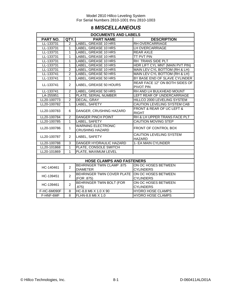## **8** *MISCELLANEOUS*

| <b>DOCUMENTS AND LABELS</b> |                |                                  |                                 |  |  |  |
|-----------------------------|----------------|----------------------------------|---------------------------------|--|--|--|
| <b>PART NO.</b>             | QTY.           | <b>PART NAME</b>                 | <b>DESCRIPTION</b>              |  |  |  |
| LL-133731                   | $\overline{2}$ | LABEL, GREASE 10 HRS             | RH OVERCARRIAGE                 |  |  |  |
| LL-133731                   | 1              | LABEL, GREASE 10 HRS             | LH OVERCARRIAGE                 |  |  |  |
| LL-133731                   | $\overline{1}$ | <b>LABEL, GREASE 10 HRS</b>      | <b>REAR AXLE</b>                |  |  |  |
| LL-133731                   | $\overline{1}$ | <b>LABEL, GREASE 10 HRS</b>      | <b>TT PVT PIN</b>               |  |  |  |
| LL-133731                   | $\overline{1}$ | LABEL, GREASE 10 HRS             | RH TRANS SIDE PLT               |  |  |  |
| LL-133731                   | $\mathbf{1}$   | <b>LABEL, GREASE 10 HRS</b>      | HDR LIFT CYL MNT (MAIN PVT PIN) |  |  |  |
| LL-133731                   | $\overline{2}$ | <b>LABEL, GREASE 10 HRS</b>      | MAIN LEV CYL BOTTOM (RH & LH)   |  |  |  |
| LL-133741                   | $\overline{2}$ | LABEL, GREASE 50 HRS             | MAIN LEV CYL BOTTOM (RH & LH)   |  |  |  |
| LL-133741                   | $\mathbf{1}$   | LABEL, GREASE 50 HRS             | BY BASE END OF SLAVE CYLINDER   |  |  |  |
|                             |                |                                  | REAR FACE 12" ON BOTH SIDES OF  |  |  |  |
| LL-133741                   | 2              | LABEL, GREASE 50 HOURS           | PIVOT PIN                       |  |  |  |
| LL-133741                   | $\overline{2}$ | LABEL, GREASE 50 HRS             | RH AND LH BULKHEAD MOUNT        |  |  |  |
| LA-255951                   | $\mathbf{1}$   | PLATE, SERIAL NUMBER             | LEFT REAR OF UNDERCARRIAGE      |  |  |  |
| LL20-100773                 | $\overline{2}$ | DECAL, GRAY                      | HILLCO 2000 LEVELING SYSTEM     |  |  |  |
| LL20-100782                 | $\mathbf{1}$   | LABEL, SAFETY                    | CAUTION LEVELING SYSTEM CAB     |  |  |  |
| LL20-100783                 | 6              |                                  | FRONT & REAR OF UC LEFT &       |  |  |  |
|                             |                | DANGER, CRUSHING HAZARD          | <b>RIGHT</b>                    |  |  |  |
| LL20-100784                 | $\overline{2}$ | <b>DANGER PINCH POINT</b>        | RH & LH UPPER TRANS FACE PLT    |  |  |  |
| LL20-100785                 | $\mathbf{1}$   | LABEL, SAFETY                    | <b>CAUTION MOVING STEP</b>      |  |  |  |
| LL20-100786                 | $\mathbf{1}$   | <b>WARNING ELECTRONIC</b>        | <b>FRONT OF CONTROL BOX</b>     |  |  |  |
|                             |                | <b>CRUSHING HAZARD</b>           |                                 |  |  |  |
| LL20-100787                 | 2              | LABEL, SAFETY                    | CAUTION LEVELING SYSTEM         |  |  |  |
|                             |                |                                  | <b>HAZARD</b>                   |  |  |  |
| LL20-100788                 | 3              | DANGER HYDRAULIC HAZARD          | 1- EA MAIN CYLINDER             |  |  |  |
| LL20-101868                 | $\mathbf{1}$   | PLATE, CONSOLE SWITCH            |                                 |  |  |  |
| LL20-101869                 | 1              | PLATE, MAXIMUM LEVEL             |                                 |  |  |  |
|                             |                |                                  |                                 |  |  |  |
|                             |                | <b>HOSE CLAMPS AND FASTENERS</b> |                                 |  |  |  |
| HC-140461                   | $\overline{2}$ | <b>BEHRINGER TWIN CLAMP .875</b> | ON OC HOSES BETWEEN             |  |  |  |
|                             |                | <b>DIAMETER</b>                  | <b>CYLINDERS</b>                |  |  |  |
| HC-139451                   | $\overline{2}$ | BEHRINGER TWIN COVER PLATE       | ON OC HOSES BETWEEN             |  |  |  |
|                             |                | (FOR .875)                       | <b>CYLINDERS</b>                |  |  |  |
|                             | $\overline{2}$ | <b>BEHRINGER TWIN BOLT (FOR</b>  | ON OC HOSES BETWEEN             |  |  |  |
| HC-139461                   |                | .875)                            | <b>CYLINDERS</b>                |  |  |  |
| F-HC-6M090F                 | 8              | HC-8.8 M6 X 1.0 X 90             | <b>HYDRO HOSE CLAMPS</b>        |  |  |  |
| F-HNF-6MF                   | $\overline{8}$ | FLHN-8.8 M6 X 1.0                | <b>HYDRO HOSE CLAMPS</b>        |  |  |  |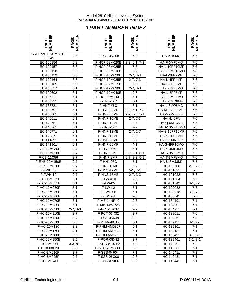## **9** *PART NUMBER INDEX*

| <b>IMBER</b><br>PART              | PAGE<br>'IMBERI  |  |
|-----------------------------------|------------------|--|
| <b>CNH PART NUMBER:</b><br>336945 | $2 - 5$          |  |
| EC-100156                         | $6 - 3$          |  |
|                                   | $6 - 3$          |  |
| EC-100157<br>EC-100158            | $6 - 3$          |  |
| EC-100159                         | $6 - 3$          |  |
| EC-100164                         | $\overline{6-3}$ |  |
| EC-100165                         | $6 - 3$          |  |
| EC-100557                         | $6 - 1$          |  |
| EC-100692                         | $6 - 1$          |  |
| EC-136211                         | $6 - 1$          |  |
| EC-136221                         | $6 - 1$          |  |
| EC-138781                         | $6-1$            |  |
| EC-138791                         | $6 - 1$          |  |
| EC-138801                         | $6 - 1$          |  |
| EC-140611                         | $6 - 1$          |  |
| EC-140751                         | $6 - 1$          |  |
| EC-140761                         | $6 - 1$          |  |
| EC-140771                         | $6 - 1$          |  |
|                                   |                  |  |
| EC-140871                         | $6 - 1$          |  |
| EC-141891                         | $6 - 1$          |  |
| EC-141901                         | $6 - 1$          |  |
| F-CB-10M030F                      | $2 - 7$          |  |
| F-CB-10M030F                      | <u>2-7</u>       |  |
| F-CB-12C56                        | $2 - 7$          |  |
| F-EYB-20M150E                     | $2 - 7$          |  |
| F-FHS-8M016E                      | $2 - 7$          |  |
| $\overline{F}$ -FWH-08            | $2 - 7$          |  |
| $F-FWH-10$                        | $2 - 7$          |  |
| F-HC-08M025F                      | $5 - 1$          |  |
| F-HC-10M035F                      | $5 - 1$          |  |
| F-HC-12M030F                      | $5 - 1$          |  |
| F-HC-12M050F                      | $5-1$            |  |
| F-HC-12M060F                      | $5-1$            |  |
| F-HC-12M070E                      | $7 - 1$          |  |
| F-HC-12M280F                      | 5-1              |  |
| F-HC-16M050E                      | $2 - 7, 3 - 3$   |  |
| F-HC-16M110E                      | $2 - 7$          |  |
| F-HC-16M120E                      | $2 - 7$          |  |
| F-HC-20M070E                      | $3 - 3$          |  |
| F-HC-20M120                       | $3 - 3$          |  |
| F-HC-20M170F                      | 4-1              |  |
| F-HC-20M280E                      | $3 - 3$          |  |
| <u>F-HC-22M150E</u>               | $2 - 5$          |  |
| F-HC-6M090F                       | $3-3, 8-1$       |  |
| F-HC8-08F20                       | $2 - 3$          |  |
| F-HC-8M016F                       | $2 - 7$          |  |
| F-HC-8M025F                       | $2 - 7$          |  |
| $F-HC-8M040F$                     | $3 - 3$          |  |

| NUMBER<br>PART            | <b>PAGE</b><br>NUMBER | NUMBER<br>PART | <b>PAGE</b><br>NUMBER  | <b>NUMBER</b><br>PART   | <b>PAGE</b><br>NUMBER |
|---------------------------|-----------------------|----------------|------------------------|-------------------------|-----------------------|
| IH PART NUMBER:<br>336945 | $2 - 5$               | F-HCF-05C08    | $7 - 3$                | HA-A-10MO               | $7-6$                 |
| EC-100156                 | $6 - 3$               | F-HCF-08M020E  | $3-3, 6-1, 7-3$        | HA-F-6MF6MO             | $7 - 6$               |
| EC-100157                 | $6 - 3$               | F-HCF-08M025E  | $7 - 3$                | HA-L-10FF10MF           | $7-6$                 |
| EC-100158                 | $6 - 3$               | F-HCF-10M016F  | $2 - 7$                | HA-L-10MF10MO           | $7-6$                 |
| EC-100159                 | $6 - 3$               | F-HCF-10M020E  | $2-7, 3-3$             | HA-L-2FP2MP             | $7-6$                 |
| EC-100164                 | $6 - 3$               | F-HCF-10M025E  | $\overline{2}$ -7, 7-3 | HA-L-4FP4MP             | $7-6$                 |
| EC-100165                 | $6 - 3$               | F-HCF-12M025F  | $3 - 3$                | HA-L-6FF6MF             | $7 - 6$               |
| EC-100557                 | $6 - 1$               | F-HCF-12M030E  | $2-7, 3-3$             | HA-L-6MF6MO             | $7-6$                 |
| EC-100692                 | $6 - 1$               | F-HCF-12M040E  | $2 - 7$                | HA-L-8FF8MF             | $7 - 6$               |
| EC-136211                 | $6 - 1$               | F-HCF-8M020E   | $5 - 1$                | HA-L-8MF8MO             | $7 - 6$               |
| EC-136221                 | $6 - 1$               | F-HN5-12C      | $5 - 1$                | HA-L-8MO6MF             | $7-6$                 |
| EC-138781                 | $6 - 1$               | F-HNF-#6C      | $6 - 1$                | HA-L-8MO8MO             | $7 - 6$               |
| EC-138791                 | $6 - 1$               | F-HNF-08ME     | $3-3, 6-1, 7-3$        | HA-M-16FF16MF           | $7-6$                 |
| EC-138801                 | $6 - 1$               | F-HNF-08MF     | $2-7, 3-3, 5-1$        | HA-M-6MF6FF             | $7 - 6$               |
| EC-140611                 | $6 - 1$               | F-HNF-10ME     | $\overline{2}$ -7, 7-3 | HA-NJ-2FN               | $7-6$                 |
| EC-140751                 | $6 - 1$               | F-HNF-10MF     | $2 - 7$                | HA-Q-6MF6MO             | $7-6$                 |
| EC-140761                 | $6 - 1$               | F-HNF-12C      | $2 - 7$                | HA-S-10MF10MO           | $7 - 6$               |
| EC-140771                 | $6 - 1$               | F-HNF-12ME     | $2-7, 2-7$             | HA-S-16FF10MF           | $7 - 6$               |
| EC-140871                 | $6 - 1$               | F-HNF-12MF     | $3 - 3$                | HA-S-2FP2MN             | $7 - 6$               |
| EC-141891                 | $6 - 1$               | F-HNF-20ME     | $2 - 7$                | HA-S-2MN2FP             | $7 - 6$               |
| EC-141901                 | $6 - 1$               | F-HNF-20MF     | $4 - 1$                | HA-S-4FP10MO            | $7-6$                 |
| F-CB-10M030F              | $2 - 7$               | F-HNF-5MF      | $6 - 1$                | HA-S-4MF4M0             | $7 - 6$               |
| F-CB-10M030F              | $2 - 7$               | F-HNF-6MF      | $3-3, 6-1, 8-1$        | HA-S-8MF8MO             | $7 - 6$               |
| F-CB-12C56                | $2 - 7$               | F-HNF-8MF      | $3-3, 5-1$<br>$2 - 7.$ | HA-T-8MF8MO             | $7 - 6$               |
| F-EYB-20M150E             | $2 - 7$               | F-HNJ-05C      | $5 - 1$                | HA-U-3MJ3MJ             | $7 - 5$               |
| F-FHS-8M016E              | $2 - 7$               | F-HNJ-12MF     | $2 - 7$                | HC-100706               | $2-1, 7-1$            |
| F-FWH-08                  | $2 - 7$               | F-HNS-12ME     | $5-1, 7-1$             | HC-101021               | $7 - 3$               |
| $\overline{F-FWH-10}$     | $2 - 7$               | F-HNS-16ME     | $2-7, 3-3$             | HC-101022               | $7 - 3$               |
| F-HC-08M025F              | $5 - 1$               | F-LW-#10       | $7 - 3$                | $\overline{HC}$ -101264 | $7 - 3$               |
| F-HC-10M035F              | $5 - 1$               | F-LW-05        | $5 - 1$                | HC-101842               | $3-1, 7-1$            |
| F-HC-12M030F              | $5 - 1$               | F-LW-12        | $5 - 1$                | HC-102082               | $7 - 3$               |
| F-HC-12M050F              | $5-1$                 | F-LWE-05       | $6 - 1$                | HC-102218               | $3-1, 7-1$            |
| F-HC-12M060F              | $5 - 1$               | F-LWH-08       | $2 - 3$                | HC-133541               | $7 - 5$               |
| F-HC-12M070E              | $7 - 1$               | F-MB-14NR40    | $2 - 7$                | HC-134191               | $7 - 1$               |
| F-HC-12M280F              | 5-1                   | F-MB-14WR26    | $3 - 3$                | HC-134201               | 7-1                   |
| F-HC-16M050E              | $2 - 7, 3 - 3$        | F-PCL-16X32    | $2 - 7$                | HC-134251               | 7-1                   |
| F-HC-16M110E              | $2 - 7$               | F-PCT-03X32    | $2 - 7$                | HC-138011               | 7-6                   |
| F-HC-16M120E              | $2 - 7$               | F-PCT-05X48    | $3-3$                  | HC-138861               | $7 - 3$               |
| F-HC-20M070E              | $3 - 3$               | F-PHM-#6C12    | $6 - 1$                | HC-139151               | $3-1, 7-1$            |
| F-HC-20M120               | $3-3$                 | F-PHM-4M030F   | 6-1                    | HC-139161               | 7-1                   |
| F-HC-20M170F              | 4-1                   | F-PHM-5M050F   | 6-1                    | HC-139181               | $7 - 1$               |
| F-HC-20M280E              | $3-3$                 | F-PHM-6M020F   | 6-1                    | HC-139451               | $3-1, 8-1$            |
| F-HC-22M150E              | $2 - 5$               | F-PQR-08X32    | $2 - 7$                | HC-139461               | $3-1, 8-1$            |
| F-HC-6M090F               | $3-3, 8-1$            | F-SHC-#10C52   | $7 - 3$                | HC-140291               | $7 - 3$               |
| F-HC8-08F20               | $2 - 3$               | F-SHC-20M060E  | $3 - 3$                | HC-140361               | 7-1                   |
| F-HC-8M016F               | $2 - 7$               | F-SSS-04F04    | 7-1                    | HC-140411               | $7 - 3$               |
| F-HC-8M025F               | $2 - 7$               | F-SSS-06C08    | $2 - 3$                | HC-140431               | $7 - 1$               |
| F-HC-8M040F               | 3-3                   | F-UDS-#7X06    | $3 - 3$                | HC-140441               | 7-1                   |

| ≃<br>ш<br>75<br>₹<br>ք         | ≃<br>ш<br>ш<br>୍ର<br><<br>മ<br>௨ |
|--------------------------------|----------------------------------|
| HA-A-10MO                      | 7-6                              |
|                                |                                  |
| HA-F-6MF6MO                    | $7-6$                            |
| HA-L-10FF10MF                  | 7-6                              |
| HA-L-10MF10MO                  | 7-6                              |
| HA-L-2FP2MP                    | 7-6                              |
| HA-L-4FP4MP                    | 7-6                              |
| HA-L-6FF6MF                    | 7-6                              |
| HA-L-6MF6MO<br>HA-L-8FF8MF     | 7-6                              |
| HA-L-8MF8MO                    | 7-6                              |
|                                | 7-6                              |
| HA-L-8MO6MF<br>HA-L-8MO8MO     | $7 - 6$<br>$7-6$                 |
| HA-M-16FF16MF                  | $7-6$                            |
|                                | $7-6$                            |
| HA-M-6MF6FF                    |                                  |
| HA-NJ-2FN                      | 7-6                              |
| HA-Q-6MF6MO                    | 7-6                              |
| HA-S-10MF10MO<br>HA-S-16FF10MF | $7-6$<br>7-6                     |
| HA-S-2FP2MN                    |                                  |
| HA-S-2MN2FP                    | 7-6<br>$7-6$                     |
| HA-S-4FP10MO                   | 7-6                              |
| HA-S-4MF4M0                    | $7-6$                            |
| HA-S-8MF8MO                    | $7-6$                            |
| HA-T-8MF8MO                    | 7-6                              |
| HA-U-3MJ3MJ                    | 7-5                              |
| HC-100706                      | $2-1, 7-1$                       |
| HC-101021                      | $7-3$                            |
| HC-101022                      | $7 - 3$                          |
| HC-101264                      | 7-3                              |
| HC-101842                      | $\frac{3-1}{7-1}$                |
| HC-102082                      | $7 - 3$                          |
| HC-102218                      | $3-1, 7-1$                       |
| HC-133541                      | $7-5$                            |
| HC-134191                      | 7-1                              |
| HC-134201                      | $7 - 1$                          |
| HC-134251                      | $7-1$                            |
| HC-138011                      | $7-6$                            |
| HC-138861                      | $7 - 3$                          |
| HC-139151                      | $3-1, 7-1$                       |
| HC-139161                      | $7 - 1$                          |
| HC-139181                      | $7 - 1$                          |
| HC-139451                      | $3-1, 8-1$                       |
| HC-139461                      | $3-1, 8-1$                       |
| HC-140291                      | $7 - 3$                          |
| HC-140361                      | $7 - 1$                          |
| HC-140411                      | $7 - 3$                          |
| HC-140431                      | $7 - 1$                          |
| HC-140441                      | $7 - 1$                          |